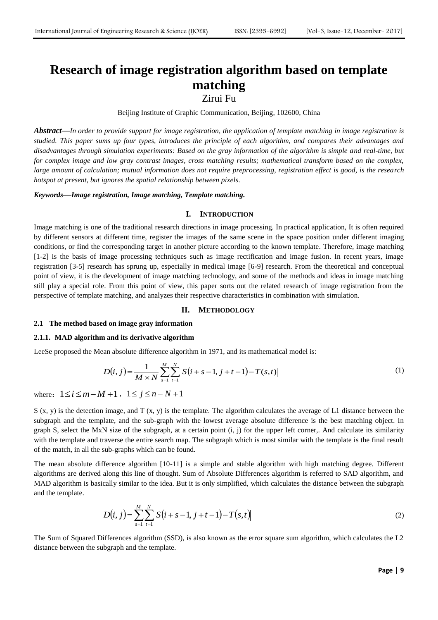# **Research of image registration algorithm based on template matching**

Zirui Fu

Beijing Institute of Graphic Communication, Beijing, 102600, China

*Abstract***—***In order to provide support for image registration, the application of template matching in image registration is studied. This paper sums up four types, introduces the principle of each algorithm, and compares their advantages and disadvantages through simulation experiments: Based on the gray information of the algorithm is simple and real-time, but for complex image and low gray contrast images, cross matching results; mathematical transform based on the complex, large amount of calculation; mutual information does not require preprocessing, registration effect is good, is the research hotspot at present, but ignores the spatial relationship between pixels.*

*Keywords***—***Image registration, Image matching, Template matching.*

### **I. INTRODUCTION**

Image matching is one of the traditional research directions in image processing. In practical application, It is often required by different sensors at different time, register the images of the same scene in the space position under different imaging conditions, or find the corresponding target in another picture according to the known template. Therefore, image matching [1-2] is the basis of image processing techniques such as image rectification and image fusion. In recent years, image registration [3-5] research has sprung up, especially in medical image [6-9] research. From the theoretical and conceptual point of view, it is the development of image matching technology, and some of the methods and ideas in image matching still play a special role. From this point of view, this paper sorts out the related research of image registration from the perspective of template matching, and analyzes their respective characteristics in combination with simulation.

# **II. METHODOLOGY**

### **2.1 The method based on image gray information**

### **2.1.1. MAD algorithm and its derivative algorithm**

LeeSe proposed the Mean absolute difference algorithm in 1971, and its mathematical model is:

$$
D(i, j) = \frac{1}{M \times N} \sum_{s=1}^{M} \sum_{t=1}^{N} |S(i+s-1, j+t-1) - T(s,t)|
$$
\n(1)

where:  $1 \le i \le m - M + 1$ ,  $1 \le j \le n - N + 1$ 

 $S(x, y)$  is the detection image, and T  $(x, y)$  is the template. The algorithm calculates the average of L1 distance between the subgraph and the template, and the sub-graph with the lowest average absolute difference is the best matching object. In graph S, select the MxN size of the subgraph, at a certain point (i, j) for the upper left corner,. And calculate its similarity with the template and traverse the entire search map. The subgraph which is most similar with the template is the final result of the match, in all the sub-graphs which can be found.

The mean absolute difference algorithm [10-11] is a simple and stable algorithm with high matching degree. Different algorithms are derived along this line of thought. Sum of Absolute Differences algorithm is referred to SAD algorithm, and MAD algorithm is basically similar to the idea. But it is only simplified, which calculates the distance between the subgraph and the template.

$$
D(i, j) = \sum_{s=1}^{M} \sum_{t=1}^{N} \left| S(i+s-1, j+t-1) - T(s,t) \right| \tag{2}
$$

The Sum of Squared Differences algorithm (SSD), is also known as the error square sum algorithm, which calculates the L2 distance between the subgraph and the template.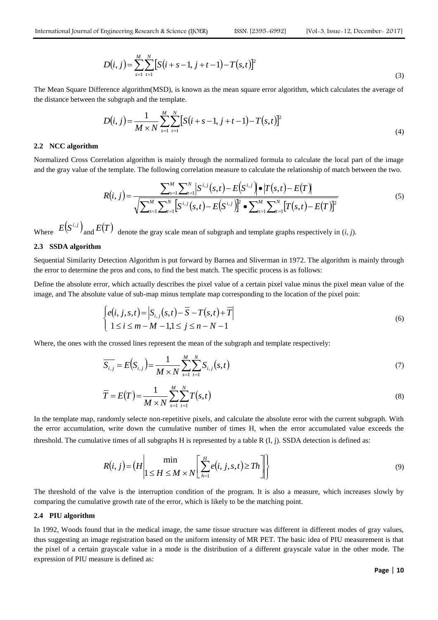$$
D(i, j) = \sum_{s=1}^{M} \sum_{t=1}^{N} \left[ S(i+s-1, j+t-1) - T(s,t) \right]^2
$$
\n(3)

The Mean Square Difference algorithm(MSD), is known as the mean square error algorithm, which calculates the average of the distance between the subgraph and the template.

$$
D(i, j) = \frac{1}{M \times N} \sum_{s=1}^{M} \sum_{t=1}^{N} [S(i + s - 1, j + t - 1) - T(s, t)]^{2}
$$
\n(4)

### **2.2 NCC algorithm**

Normalized Cross Correlation algorithm is mainly through the normalized formula to calculate the local part of the image and the gray value of the template. The following correlation measure to calculate the relationship of match between the two.

$$
R(i, j) = \frac{\sum_{s=1}^{M} \sum_{t=1}^{N} \left| S^{i, j}(s, t) - E(S^{i, j}) \right| \bullet \left| T(s, t) - E(T) \right|}{\sqrt{\sum_{s=1}^{M} \sum_{t=1}^{N} \left[ S^{i, j}(s, t) - E(S^{i, j}) \right]^{2} \bullet \sum_{s=1}^{M} \sum_{t=1}^{N} \left[ T(s, t) - E(T) \right]^{2}}}
$$
(5)

Where  $E(S^{i,j})$ and  $E(T)$  denote the gray scale mean of subgraph and template graphs respectively in  $(i, j)$ .

# **2.3 SSDA algorithm**

Sequential Similarity Detection Algorithm is put forward by Barnea and Sliverman in 1972. The algorithm is mainly through the error to determine the pros and cons, to find the best match. The specific process is as follows:

Define the absolute error, which actually describes the pixel value of a certain pixel value minus the pixel mean value of the image, and The absolute value of sub-map minus template map corresponding to the location of the pixel poin:

$$
\begin{cases} e(i, j, s, t) = |S_{i,j}(s, t) - \overline{S} - T(s, t) + \overline{T}| \\ 1 \le i \le m - M - 1, 1 \le j \le n - N - 1 \end{cases}
$$
\n(6)

Where, the ones with the crossed lines represent the mean of the subgraph and template respectively:

$$
\overline{S_{i,j}} = E(S_{i,j}) = \frac{1}{M \times N} \sum_{s=1}^{M} \sum_{t=1}^{N} S_{i,j}(s,t)
$$
\n(7)

$$
\overline{T} = E(T) = \frac{1}{M \times N} \sum_{s=1}^{M} \sum_{t=1}^{N} T(s, t)
$$
\n(8)

In the template map, randomly selecte non-repetitive pixels, and calculate the absolute error with the current subgraph. With the error accumulation, write down the cumulative number of times H, when the error accumulated value exceeds the threshold. The cumulative times of all subgraphs H is represented by a table R  $(I, j)$ . SSDA detection is defined as:

$$
R(i, j) = (H \left| \min_{1 \leq H \leq M \times N} \left[ \sum_{h=1}^{H} e(i, j, s, t) \geq Th \right] \right| \tag{9}
$$

The threshold of the valve is the interruption condition of the program. It is also a measure, which increases slowly by comparing the cumulative growth rate of the error, which is likely to be the matching point.

### **2.4 PIU algorithm**

In 1992, Woods found that in the medical image, the same tissue structure was different in different modes of gray values, thus suggesting an image registration based on the uniform intensity of MR PET. The basic idea of PIU measurement is that the pixel of a certain grayscale value in a mode is the distribution of a different grayscale value in the other mode. The expression of PIU measure is defined as: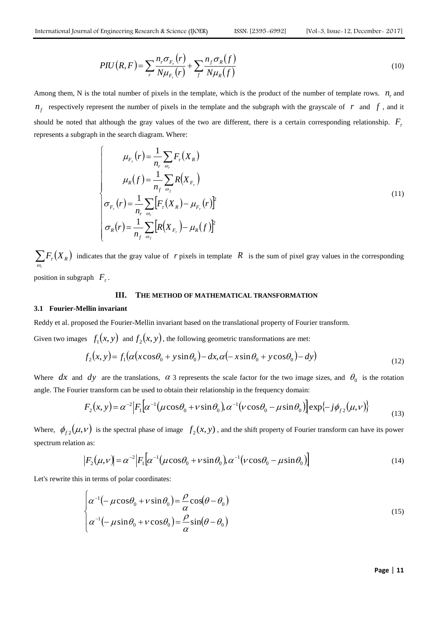$$
PIU\left(R, F\right) = \sum_{r} \frac{n_r \sigma_{F_r}\left(r\right)}{N \mu_{F_r}\left(r\right)} + \sum_{f} \frac{n_f \sigma_{R}\left(f\right)}{N \mu_{R}\left(f\right)}
$$
(10)

Among them, N is the total number of pixels in the template, which is the product of the number of template rows.  $n_r$  and  $n_f$  respectively represent the number of pixels in the template and the subgraph with the grayscale of  $r$  and  $f$ , and it should be noted that although the gray values of the two are different, there is a certain corresponding relationship.  $F<sub>z</sub>$ represents a subgraph in the search diagram. Where:

$$
\mu_{F_r}(r) = \frac{1}{n_r} \sum_{\omega_r} F_r(X_R)
$$
\n
$$
\mu_R(f) = \frac{1}{n_f} \sum_{\omega_f} R(X_{F_r})
$$
\n
$$
\sigma_{F_r}(r) = \frac{1}{n_r} \sum_{\omega_r} \left[ F_r(X_R) - \mu_{F_r}(r) \right]^2
$$
\n
$$
\sigma_R(r) = \frac{1}{n_f} \sum_{\omega_f} \left[ R(X_{F_r}) - \mu_R(f) \right]^2
$$
\n(11)

 $\sum F_{\tau}(X_R)$  indicates that the gray value of r pixels in template R is the sum of pixel gray values in the corresponding *r*  $\omega$ position in subgraph  $F_{\tau}$ .

# **III. THE METHOD OF MATHEMATICAL TRANSFORMATION**

# **3.1 Fourier-Mellin invariant**

Reddy et al. proposed the Fourier-Mellin invariant based on the translational property of Fourier transform.

Given two images  $f_1(x, y)$  and  $f_2(x, y)$ , the following geometric transformations are met:

$$
f_2(x, y) = f_1(\alpha(x\cos\theta_0 + y\sin\theta_0) - dx, \alpha(-x\sin\theta_0 + y\cos\theta_0) - dy)
$$
\n(12)

Where dx and dy are the translations,  $\alpha$  3 represents the scale factor for the two image sizes, and  $\theta_0$  is the rotation angle. The Fourier transform can be used to obtain their relationship in the frequency domain:

$$
F_2(x, y) = \alpha^{-2} \Big| F_1 \Big[ \alpha^{-1} \big( \mu \cos \theta_0 + \nu \sin \theta_0 \big), \alpha^{-1} \big( \nu \cos \theta_0 - \mu \sin \theta_0 \big) \Big] \exp\big\{-j \phi_{f2} \big( \mu, \nu \big) \big\}
$$
(13)

Where,  $\phi_{f2}(\mu, \nu)$  is the spectral phase of image  $f_2(x, y)$ , and the shift property of Fourier transform can have its power spectrum relation as:

$$
|F_2(\mu, \nu)| = \alpha^{-2} |F_1[\alpha^{-1}(\mu \cos \theta_0 + \nu \sin \theta_0), \alpha^{-1}(\nu \cos \theta_0 - \mu \sin \theta_0)]
$$
\n(14)

Let's rewrite this in terms of polar coordinates:

$$
\begin{cases}\n\alpha^{-1}(-\mu\cos\theta_0 + v\sin\theta_0) = \frac{\rho}{\alpha}\cos(\theta - \theta_0) \\
\alpha^{-1}(-\mu\sin\theta_0 + v\cos\theta_0) = \frac{\rho}{\alpha}\sin(\theta - \theta_0)\n\end{cases}
$$
\n(15)

**Page** | **11**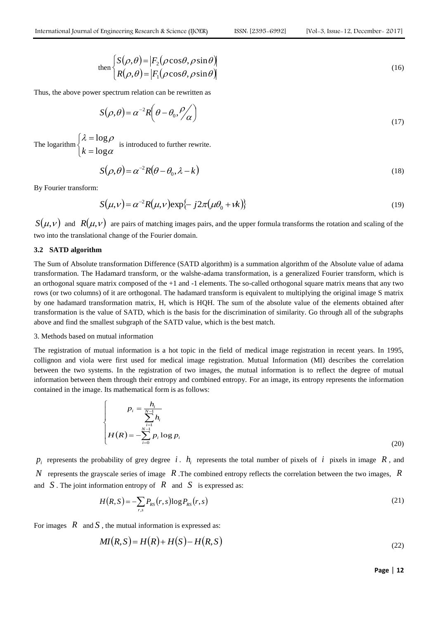$$
\text{then } \begin{cases} S(\rho,\theta) = |F_2(\rho\cos\theta,\rho\sin\theta) \\ R(\rho,\theta) = |F_1(\rho\cos\theta,\rho\sin\theta) \end{cases}
$$
 (16)

Thus, the above power spectrum relation can be rewritten as

$$
S(\rho,\theta) = \alpha^{-2} R\left(\theta - \theta_0, \frac{\rho}{\alpha}\right)
$$
\n(17)

The logarithm  $\overline{\mathcal{L}}$ ↑  $\begin{array}{c} \hline \end{array}$  $=$  $=$  $\alpha$  $\lambda = \log \rho$ log log  $k = \log \alpha$  is introduced to further rewrite.

$$
S(\rho,\theta) = \alpha^{-2}R(\theta - \theta_0, \lambda - k) \tag{18}
$$

By Fourier transform:

$$
S(\mu, \nu) = \alpha^{-2} R(\mu, \nu) \exp\{-j2\pi(\mu\theta_0 + \nu k)\}\tag{19}
$$

 $S(\mu, \nu)$  and  $R(\mu, \nu)$  are pairs of matching images pairs, and the upper formula transforms the rotation and scaling of the two into the translational change of the Fourier domain.

### **3.2 SATD algorithm**

The Sum of Absolute transformation Difference (SATD algorithm) is a summation algorithm of the Absolute value of adama transformation. The Hadamard transform, or the walshe-adama transformation, is a generalized Fourier transform, which is an orthogonal square matrix composed of the +1 and -1 elements. The so-called orthogonal square matrix means that any two rows (or two columns) of it are orthogonal. The hadamard transform is equivalent to multiplying the original image S matrix by one hadamard transformation matrix, H, which is HQH. The sum of the absolute value of the elements obtained after transformation is the value of SATD, which is the basis for the discrimination of similarity. Go through all of the subgraphs above and find the smallest subgraph of the SATD value, which is the best match.

### 3. Methods based on mutual information

The registration of mutual information is a hot topic in the field of medical image registration in recent years. In 1995, collignon and viola were first used for medical image registration. Mutual Information (MI) describes the correlation between the two systems. In the registration of two images, the mutual information is to reflect the degree of mutual information between them through their entropy and combined entropy. For an image, its entropy represents the information contained in the image. Its mathematical form is as follows:

$$
p_i = \frac{h_i}{\sum_{i=1}^{N-1} h_i}
$$
  

$$
H(R) = -\sum_{i=0}^{N-1} p_i \log p_i
$$
 (20)

 $p_i$  represents the probability of grey degree i.  $h_i$  represents the total number of pixels of i pixels in image  $R$ , and *N* represents the grayscale series of image *R* .The combined entropy reflects the correlation between the two images, *R* and  $S$ . The joint information entropy of  $R$  and  $S$  is expressed as:

$$
H(R,S) = -\sum_{r,s} P_{RS}(r,s) \log P_{RS}(r,s)
$$
\n<sup>(21)</sup>

For images  $R$  and  $S$ , the mutual information is expressed as:

$$
MI(R,S) = H(R) + H(S) - H(R,S)
$$
\n<sup>(22)</sup>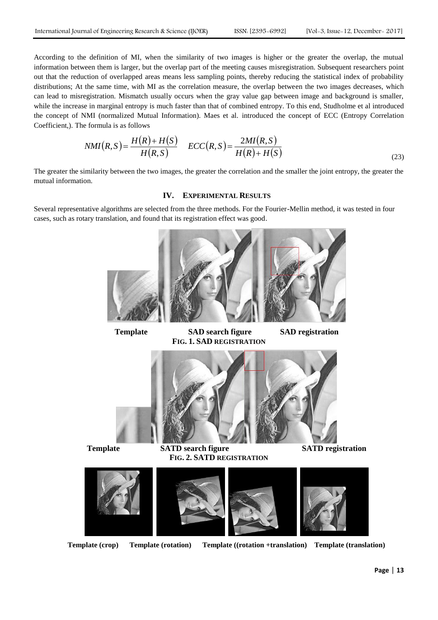According to the definition of MI, when the similarity of two images is higher or the greater the overlap, the mutual information between them is larger, but the overlap part of the meeting causes misregistration. Subsequent researchers point out that the reduction of overlapped areas means less sampling points, thereby reducing the statistical index of probability distributions; At the same time, with MI as the correlation measure, the overlap between the two images decreases, which can lead to misregistration. Mismatch usually occurs when the gray value gap between image and background is smaller, while the increase in marginal entropy is much faster than that of combined entropy. To this end, Studholme et al introduced the concept of NMI (normalized Mutual Information). Maes et al. introduced the concept of ECC (Entropy Correlation Coefficient,). The formula is as follows

$$
NMI(R,S) = \frac{H(R) + H(S)}{H(R,S)} \quad ECC(R,S) = \frac{2MI(R,S)}{H(R) + H(S)}
$$
\n(23)

The greater the similarity between the two images, the greater the correlation and the smaller the joint entropy, the greater the mutual information.

# **IV. EXPERIMENTAL RESULTS**

Several representative algorithms are selected from the three methods. For the Fourier-Mellin method, it was tested in four cases, such as rotary translation, and found that its registration effect was good.



**Template SAD search figure SAD registration FIG. 1. SAD REGISTRATION**



**Template SATD search figure SATD registration FIG. 2. SATD REGISTRATION**



**Template (crop) Template (rotation) Template ((rotation +translation) Template (translation)**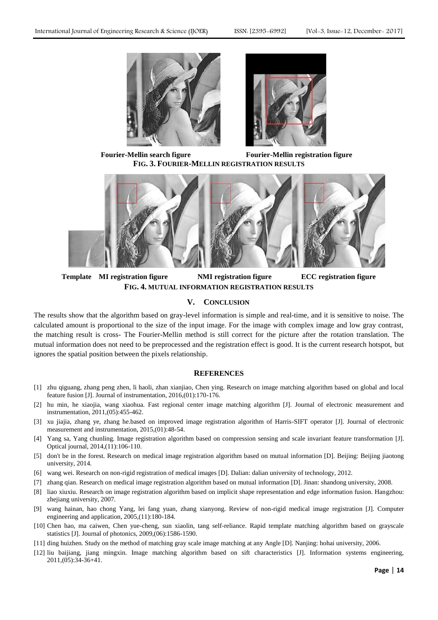



**Fourier-Mellin search figure Fourier-Mellin registration figure FIG. 3. FOURIER-MELLIN REGISTRATION RESULTS**



**Template MI registration figure NMI registration figure ECC registration figure FIG. 4. MUTUAL INFORMATION REGISTRATION RESULTS**

# **V. CONCLUSION**

The results show that the algorithm based on gray-level information is simple and real-time, and it is sensitive to noise. The calculated amount is proportional to the size of the input image. For the image with complex image and low gray contrast, the matching result is cross- The Fourier-Mellin method is still correct for the picture after the rotation translation. The mutual information does not need to be preprocessed and the registration effect is good. It is the current research hotspot, but ignores the spatial position between the pixels relationship.

# **REFERENCES**

- [1] zhu qiguang, zhang peng zhen, li haoli, zhan xianjiao, Chen ying. Research on image matching algorithm based on global and local feature fusion [J]. Journal of instrumentation, 2016,(01):170-176.
- [2] hu min, he xiaojia, wang xiaohua. Fast regional center image matching algorithm [J]. Journal of electronic measurement and instrumentation, 2011,(05):455-462.
- [3] xu jiajia, zhang ye, zhang he.based on improved image registration algorithm of Harris-SIFT operator [J]. Journal of electronic measurement and instrumentation, 2015,(01):48-54.
- [4] Yang sa, Yang chunling. Image registration algorithm based on compression sensing and scale invariant feature transformation [J]. Optical journal, 2014,(11):106-110.
- [5] don't be in the forest. Research on medical image registration algorithm based on mutual information [D]. Beijing: Beijing jiaotong university, 2014.
- [6] wang wei. Research on non-rigid registration of medical images [D]. Dalian: dalian university of technology, 2012.
- [7] zhang qian. Research on medical image registration algorithm based on mutual information [D]. Jinan: shandong university, 2008.
- [8] liao xiuxiu. Research on image registration algorithm based on implicit shape representation and edge information fusion. Hangzhou: zhejiang university, 2007.
- [9] wang hainan, hao chong Yang, lei fang yuan, zhang xianyong. Review of non-rigid medical image registration [J]. Computer engineering and application, 2005,(11):180-184.
- [10] Chen hao, ma caiwen, Chen yue-cheng, sun xiaolin, tang self-reliance. Rapid template matching algorithm based on grayscale statistics [J]. Journal of photonics, 2009,(06):1586-1590.
- [11] ding huizhen. Study on the method of matching gray scale image matching at any Angle [D]. Nanjing: hohai university, 2006.
- [12] liu baijiang, jiang mingxin. Image matching algorithm based on sift characteristics [J]. Information systems engineering, 2011,(05):34-36+41.